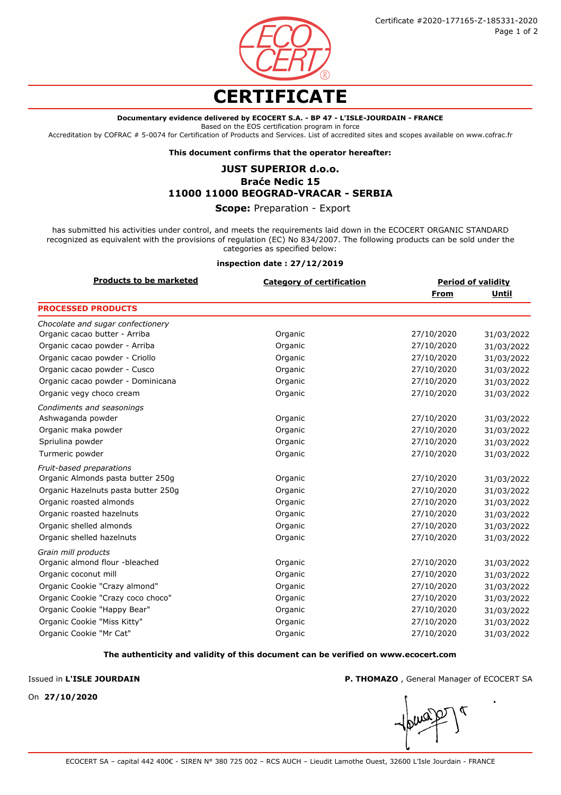

# **CERTIFICATE**

## **Documentary evidence delivered by ECOCERT S.A. - BP 47 - L'ISLE-JOURDAIN - FRANCE**

Based on the EOS certification program in force

Accreditation by COFRAC # 5-0074 for Certification of Products and Services. List of accredited sites and scopes available on www.cofrac.fr

**This document confirms that the operator hereafter:**

## **JUST SUPERIOR d.o.o.**

# **Braće Nedic 15 11000 11000 BEOGRAD-VRACAR - SERBIA**

## **Scope:** Preparation - Export

has submitted his activities under control, and meets the requirements laid down in the ECOCERT ORGANIC STANDARD recognized as equivalent with the provisions of regulation (EC) No 834/2007. The following products can be sold under the categories as specified below:

#### **inspection date : 27/12/2019**

| <b>Products to be marketed</b>      | <b>Category of certification</b> | <b>Period of validity</b> |            |
|-------------------------------------|----------------------------------|---------------------------|------------|
|                                     |                                  | From                      | Until      |
| <b>PROCESSED PRODUCTS</b>           |                                  |                           |            |
| Chocolate and sugar confectionery   |                                  |                           |            |
| Organic cacao butter - Arriba       | Organic                          | 27/10/2020                | 31/03/2022 |
| Organic cacao powder - Arriba       | Organic                          | 27/10/2020                | 31/03/2022 |
| Organic cacao powder - Criollo      | Organic                          | 27/10/2020                | 31/03/2022 |
| Organic cacao powder - Cusco        | Organic                          | 27/10/2020                | 31/03/2022 |
| Organic cacao powder - Dominicana   | Organic                          | 27/10/2020                | 31/03/2022 |
| Organic vegy choco cream            | Organic                          | 27/10/2020                | 31/03/2022 |
| Condiments and seasonings           |                                  |                           |            |
| Ashwaganda powder                   | Organic                          | 27/10/2020                | 31/03/2022 |
| Organic maka powder                 | Organic                          | 27/10/2020                | 31/03/2022 |
| Spriulina powder                    | Organic                          | 27/10/2020                | 31/03/2022 |
| Turmeric powder                     | Organic                          | 27/10/2020                | 31/03/2022 |
| Fruit-based preparations            |                                  |                           |            |
| Organic Almonds pasta butter 250g   | Organic                          | 27/10/2020                | 31/03/2022 |
| Organic Hazelnuts pasta butter 250g | Organic                          | 27/10/2020                | 31/03/2022 |
| Organic roasted almonds             | Organic                          | 27/10/2020                | 31/03/2022 |
| Organic roasted hazelnuts           | Organic                          | 27/10/2020                | 31/03/2022 |
| Organic shelled almonds             | Organic                          | 27/10/2020                | 31/03/2022 |
| Organic shelled hazelnuts           | Organic                          | 27/10/2020                | 31/03/2022 |
| Grain mill products                 |                                  |                           |            |
| Organic almond flour -bleached      | Organic                          | 27/10/2020                | 31/03/2022 |
| Organic coconut mill                | Organic                          | 27/10/2020                | 31/03/2022 |
| Organic Cookie "Crazy almond"       | Organic                          | 27/10/2020                | 31/03/2022 |
| Organic Cookie "Crazy coco choco"   | Organic                          | 27/10/2020                | 31/03/2022 |
| Organic Cookie "Happy Bear"         | Organic                          | 27/10/2020                | 31/03/2022 |
| Organic Cookie "Miss Kitty"         | Organic                          | 27/10/2020                | 31/03/2022 |
| Organic Cookie "Mr Cat"             | Organic                          | 27/10/2020                | 31/03/2022 |

#### **The authenticity and validity of this document can be verified on www.ecocert.com**

Issued in **L'ISLE JOURDAIN**

**P. THOMAZO** , General Manager of ECOCERT SA

On **27/10/2020**